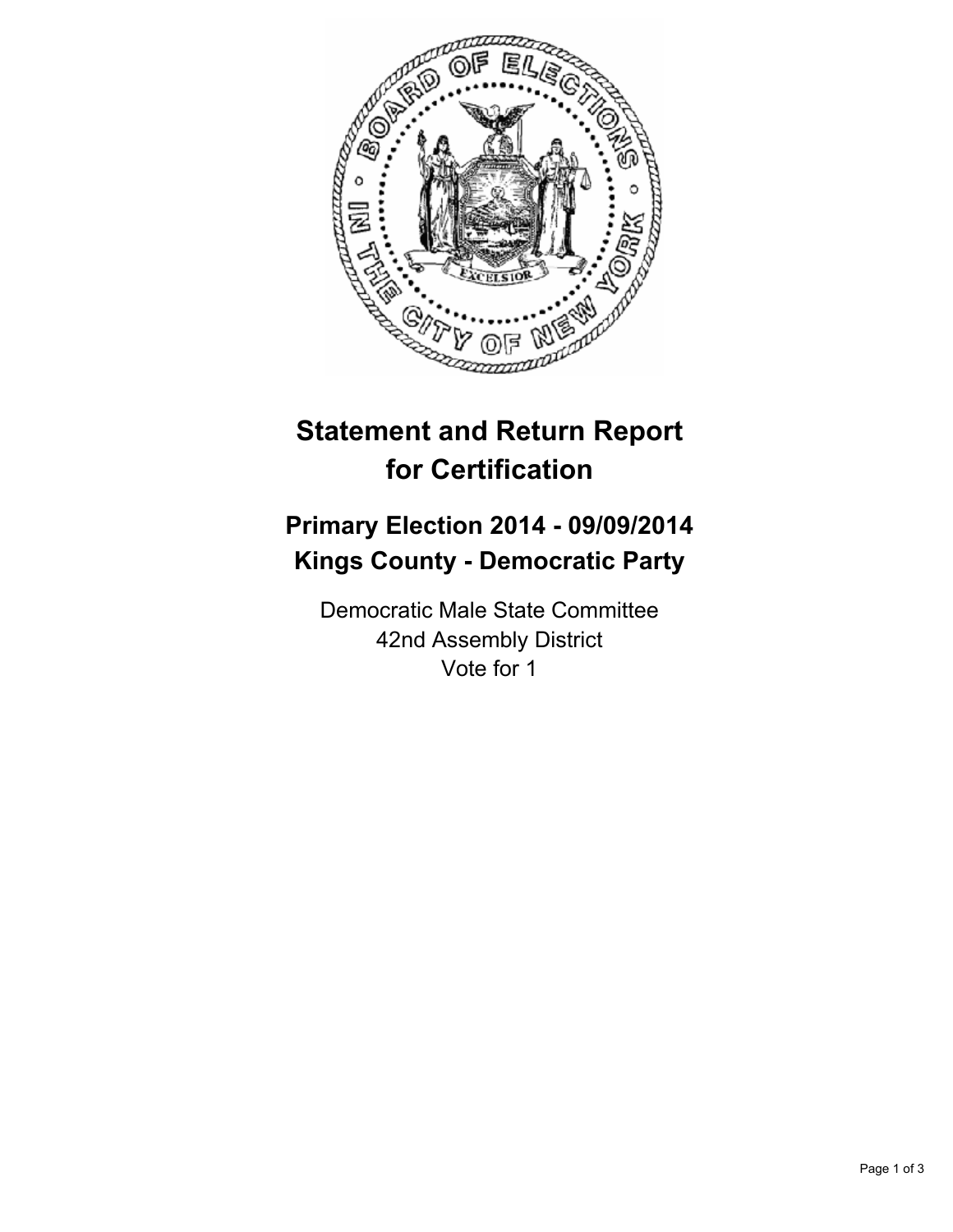

## **Statement and Return Report for Certification**

## **Primary Election 2014 - 09/09/2014 Kings County - Democratic Party**

Democratic Male State Committee 42nd Assembly District Vote for 1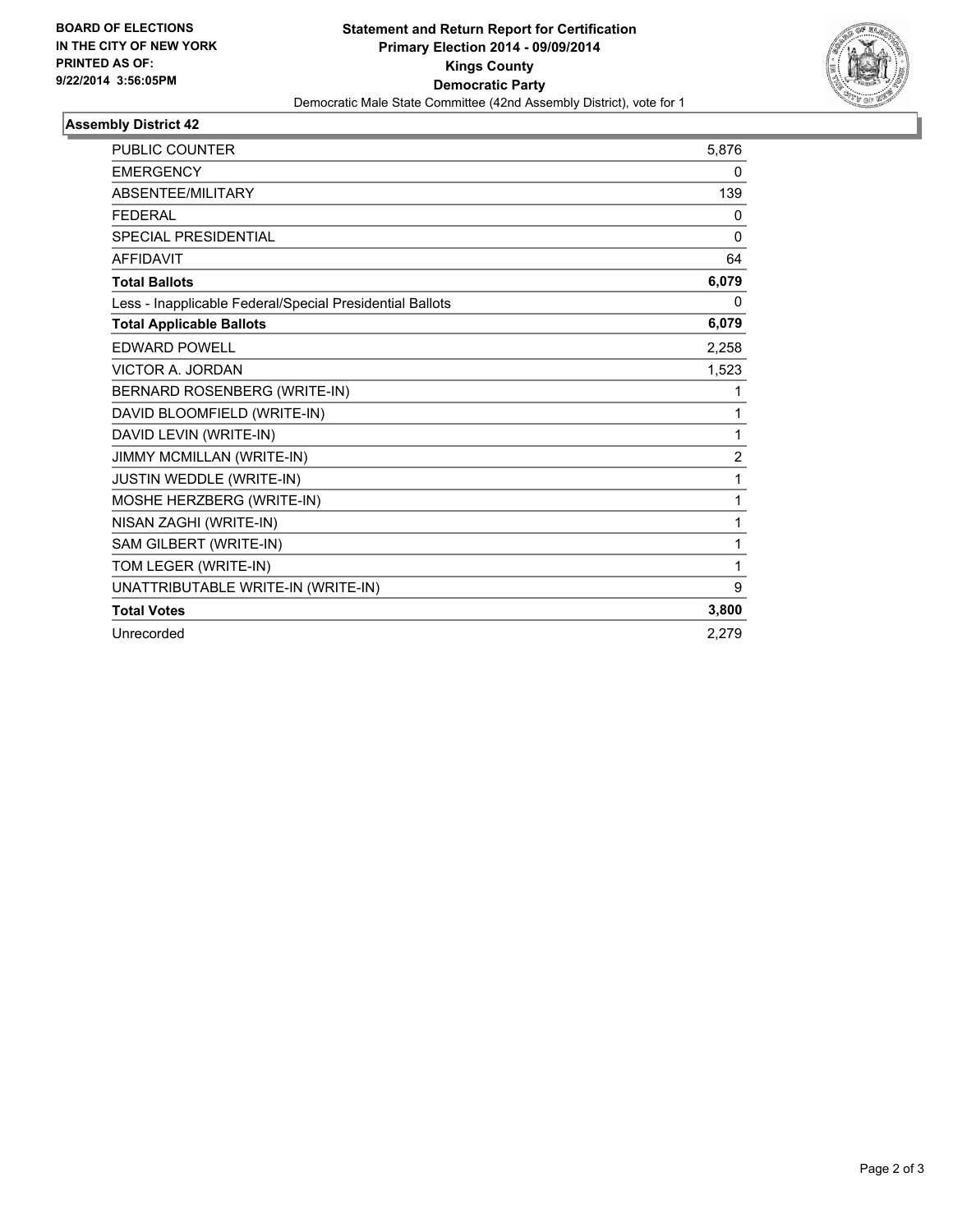

## **Assembly District 42**

| <b>PUBLIC COUNTER</b>                                    | 5,876          |
|----------------------------------------------------------|----------------|
| <b>EMERGENCY</b>                                         | 0              |
| ABSENTEE/MILITARY                                        | 139            |
| <b>FEDERAL</b>                                           | 0              |
| <b>SPECIAL PRESIDENTIAL</b>                              | 0              |
| <b>AFFIDAVIT</b>                                         | 64             |
| <b>Total Ballots</b>                                     | 6,079          |
| Less - Inapplicable Federal/Special Presidential Ballots | 0              |
| <b>Total Applicable Ballots</b>                          | 6,079          |
| <b>EDWARD POWELL</b>                                     | 2,258          |
| <b>VICTOR A. JORDAN</b>                                  | 1,523          |
| BERNARD ROSENBERG (WRITE-IN)                             | 1              |
| DAVID BLOOMFIELD (WRITE-IN)                              | 1              |
| DAVID LEVIN (WRITE-IN)                                   | 1              |
| JIMMY MCMILLAN (WRITE-IN)                                | $\overline{2}$ |
| JUSTIN WEDDLE (WRITE-IN)                                 | 1              |
| MOSHE HERZBERG (WRITE-IN)                                | 1              |
| NISAN ZAGHI (WRITE-IN)                                   | 1              |
| SAM GILBERT (WRITE-IN)                                   | 1              |
| TOM LEGER (WRITE-IN)                                     | 1              |
| UNATTRIBUTABLE WRITE-IN (WRITE-IN)                       | 9              |
| <b>Total Votes</b>                                       | 3,800          |
| Unrecorded                                               | 2,279          |